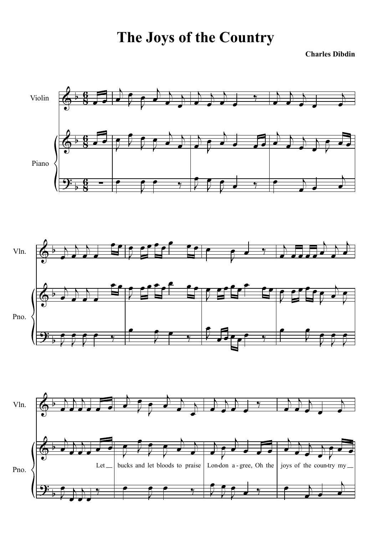**The Joys of the Country**

**Charles Dibdin**

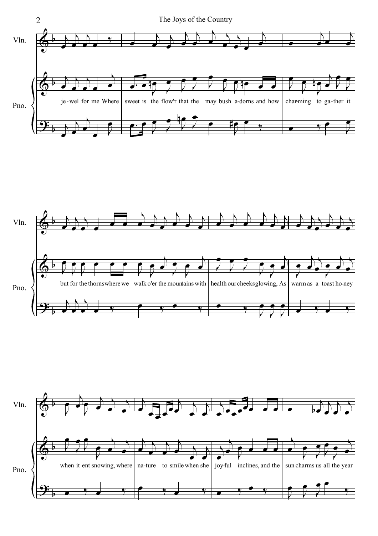



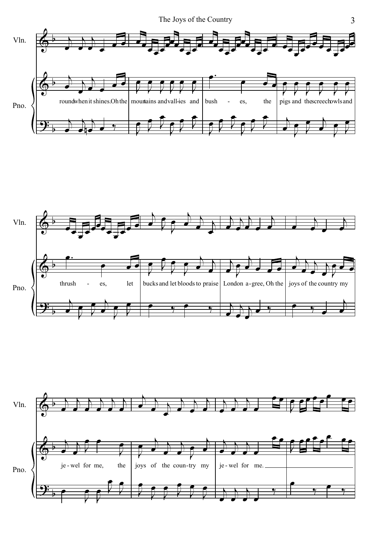